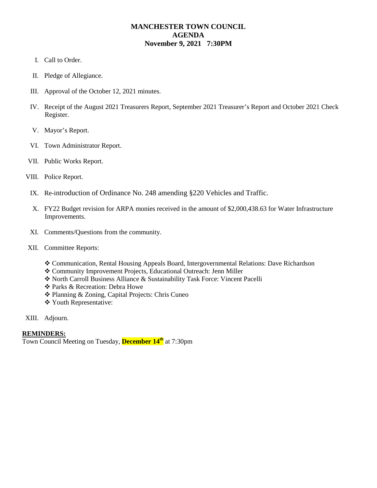## **MANCHESTER TOWN COUNCIL AGENDA November 9, 2021 7:30PM**

- I. Call to Order.
- II. Pledge of Allegiance.
- III. Approval of the October 12, 2021 minutes.
- IV. Receipt of the August 2021 Treasurers Report, September 2021 Treasurer's Report and October 2021 Check Register.
- V. Mayor's Report.
- VI. Town Administrator Report.
- VII. Public Works Report.
- VIII. Police Report.
	- IX. Re-introduction of Ordinance No. 248 amending §220 Vehicles and Traffic.
	- X. FY22 Budget revision for ARPA monies received in the amount of \$2,000,438.63 for Water Infrastructure Improvements.
	- XI. Comments/Questions from the community.
- XII. Committee Reports:
	- Communication, Rental Housing Appeals Board, Intergovernmental Relations: Dave Richardson
	- Community Improvement Projects, Educational Outreach: Jenn Miller
	- North Carroll Business Alliance & Sustainability Task Force: Vincent Pacelli
	- Parks & Recreation: Debra Howe
	- Planning & Zoning, Capital Projects: Chris Cuneo
	- Youth Representative:
- XIII. Adjourn.

## **REMINDERS:**

Town Council Meeting on Tuesday, **December 14th** at 7:30pm